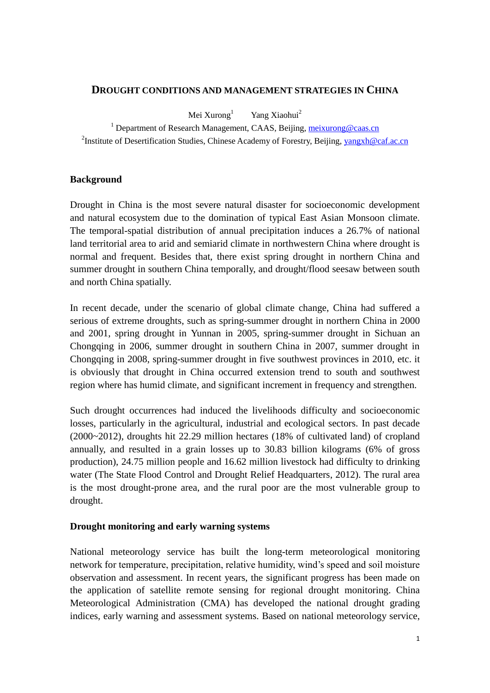## **DROUGHT CONDITIONS AND MANAGEMENT STRATEGIES IN CHINA**

Mei Xurong $^{1}$ Yang Xiaohui<sup>2</sup>

<sup>1</sup> Department of Research Management, CAAS, Beijing, [meixurong@caas.cn](mailto:meixurong@caas.cn) <sup>2</sup>Institute of Desertification Studies, Chinese Academy of Forestry, Beijing, **yangxh**@caf.ac.cn

# **Background**

Drought in China is the most severe natural disaster for socioeconomic development and natural ecosystem due to the domination of typical East Asian Monsoon climate. The temporal-spatial distribution of annual precipitation induces a 26.7% of national land territorial area to arid and semiarid climate in northwestern China where drought is normal and frequent. Besides that, there exist spring drought in northern China and summer drought in southern China temporally, and drought/flood seesaw between south and north China spatially.

In recent decade, under the scenario of global climate change, China had suffered a serious of extreme droughts, such as spring-summer drought in northern China in 2000 and 2001, spring drought in Yunnan in 2005, spring-summer drought in Sichuan an Chongqing in 2006, summer drought in southern China in 2007, summer drought in Chongqing in 2008, spring-summer drought in five southwest provinces in 2010, etc. it is obviously that drought in China occurred extension trend to south and southwest region where has humid climate, and significant increment in frequency and strengthen.

Such drought occurrences had induced the livelihoods difficulty and socioeconomic losses, particularly in the agricultural, industrial and ecological sectors. In past decade (2000~2012), droughts hit 22.29 million hectares (18% of cultivated land) of cropland annually, and resulted in a grain losses up to 30.83 billion kilograms (6% of gross production), 24.75 million people and 16.62 million livestock had difficulty to drinking water (The State Flood Control and Drought Relief Headquarters, 2012). The rural area is the most drought-prone area, and the rural poor are the most vulnerable group to drought.

## **Drought monitoring and early warning systems**

National meteorology service has built the long-term meteorological monitoring network for temperature, precipitation, relative humidity, wind's speed and soil moisture observation and assessment. In recent years, the significant progress has been made on the application of satellite remote sensing for regional drought monitoring. China Meteorological Administration (CMA) has developed the national drought grading indices, early warning and assessment systems. Based on national meteorology service,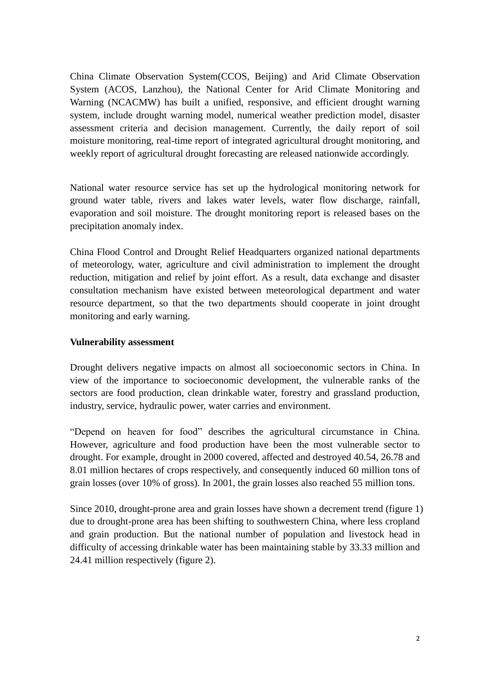China Climate Observation System(CCOS, Beijing) and Arid Climate Observation System (ACOS, Lanzhou), the National Center for Arid Climate Monitoring and Warning (NCACMW) has built a unified, responsive, and efficient drought warning system, include drought warning model, numerical weather prediction model, disaster assessment criteria and decision management. Currently, the daily report of soil moisture monitoring, real-time report of integrated agricultural drought monitoring, and weekly report of agricultural drought forecasting are released nationwide accordingly.

National water resource service has set up the hydrological monitoring network for ground water table, rivers and lakes water levels, water flow discharge, rainfall, evaporation and soil moisture. The drought monitoring report is released bases on the precipitation anomaly index.

China Flood Control and Drought Relief Headquarters organized national departments of meteorology, water, agriculture and civil administration to implement the drought reduction, mitigation and relief by joint effort. As a result, data exchange and disaster consultation mechanism have existed between meteorological department and water resource department, so that the two departments should cooperate in joint drought monitoring and early warning.

# **Vulnerability assessment**

Drought delivers negative impacts on almost all socioeconomic sectors in China. In view of the importance to socioeconomic development, the vulnerable ranks of the sectors are food production, clean drinkable water, forestry and grassland production, industry, service, hydraulic power, water carries and environment.

"Depend on heaven for food" describes the agricultural circumstance in China. However, agriculture and food production have been the most vulnerable sector to drought. For example, drought in 2000 covered, affected and destroyed 40.54, 26.78 and 8.01 million hectares of crops respectively, and consequently induced 60 million tons of grain losses (over 10% of gross). In 2001, the grain losses also reached 55 million tons.

Since 2010, drought-prone area and grain losses have shown a decrement trend (figure 1) due to drought-prone area has been shifting to southwestern China, where less cropland and grain production. But the national number of population and livestock head in difficulty of accessing drinkable water has been maintaining stable by 33.33 million and 24.41 million respectively (figure 2).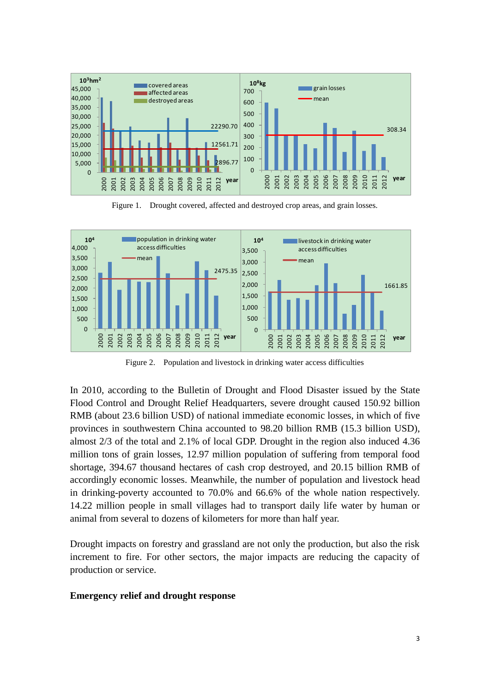

Figure 1. Drought covered, affected and destroyed crop areas, and grain losses.



Figure 2. Population and livestock in drinking water access difficulties

In 2010, according to the Bulletin of Drought and Flood Disaster issued by the State Flood Control and Drought Relief Headquarters, severe drought caused 150.92 billion RMB (about 23.6 billion USD) of national immediate economic losses, in which of five provinces in southwestern China accounted to 98.20 billion RMB (15.3 billion USD), almost 2/3 of the total and 2.1% of local GDP. Drought in the region also induced 4.36 million tons of grain losses, 12.97 million population of suffering from temporal food shortage, 394.67 thousand hectares of cash crop destroyed, and 20.15 billion RMB of accordingly economic losses. Meanwhile, the number of population and livestock head in drinking-poverty accounted to 70.0% and 66.6% of the whole nation respectively. 14.22 million people in small villages had to transport daily life water by human or animal from several to dozens of kilometers for more than half year.

Drought impacts on forestry and grassland are not only the production, but also the risk increment to fire. For other sectors, the major impacts are reducing the capacity of production or service.

#### **Emergency relief and drought response**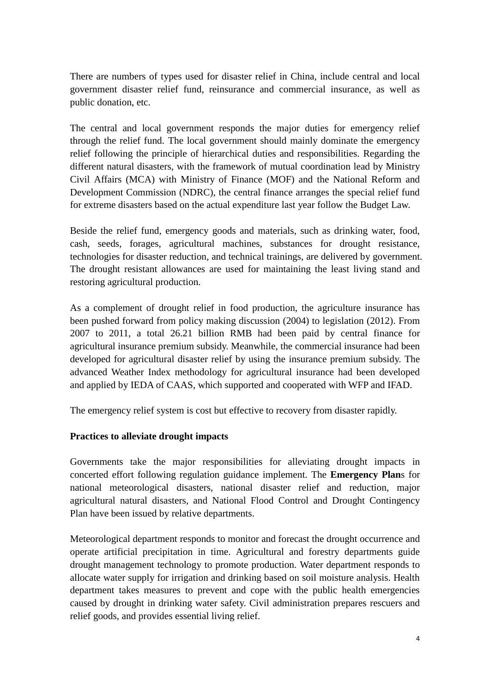There are numbers of types used for disaster relief in China, include central and local government disaster relief fund, reinsurance and commercial insurance, as well as public donation, etc.

The central and local government responds the major duties for emergency relief through the relief fund. The local government should mainly dominate the emergency relief following the principle of hierarchical duties and responsibilities. Regarding the different natural disasters, with the framework of mutual coordination lead by Ministry Civil Affairs (MCA) with Ministry of Finance (MOF) and the National Reform and Development Commission (NDRC), the central finance arranges the special relief fund for extreme disasters based on the actual expenditure last year follow the Budget Law.

Beside the relief fund, emergency goods and materials, such as drinking water, food, cash, seeds, forages, agricultural machines, substances for drought resistance, technologies for disaster reduction, and technical trainings, are delivered by government. The drought resistant allowances are used for maintaining the least living stand and restoring agricultural production.

As a complement of drought relief in food production, the agriculture insurance has been pushed forward from policy making discussion (2004) to legislation (2012). From 2007 to 2011, a total 26.21 billion RMB had been paid by central finance for agricultural insurance premium subsidy. Meanwhile, the commercial insurance had been developed for agricultural disaster relief by using the insurance premium subsidy. The advanced Weather Index methodology for agricultural insurance had been developed and applied by IEDA of CAAS, which supported and cooperated with WFP and IFAD.

The emergency relief system is cost but effective to recovery from disaster rapidly.

# **Practices to alleviate drought impacts**

Governments take the major responsibilities for alleviating drought impacts in concerted effort following regulation guidance implement. The **Emergency Plan**s for national meteorological disasters, national disaster relief and reduction, major agricultural natural disasters, and National Flood Control and Drought Contingency Plan have been issued by relative departments.

Meteorological department responds to monitor and forecast the drought occurrence and operate artificial precipitation in time. Agricultural and forestry departments guide drought management technology to promote production. Water department responds to allocate water supply for irrigation and drinking based on soil moisture analysis. Health department takes measures to prevent and cope with the public health emergencies caused by drought in drinking water safety. Civil administration prepares rescuers and relief goods, and provides essential living relief.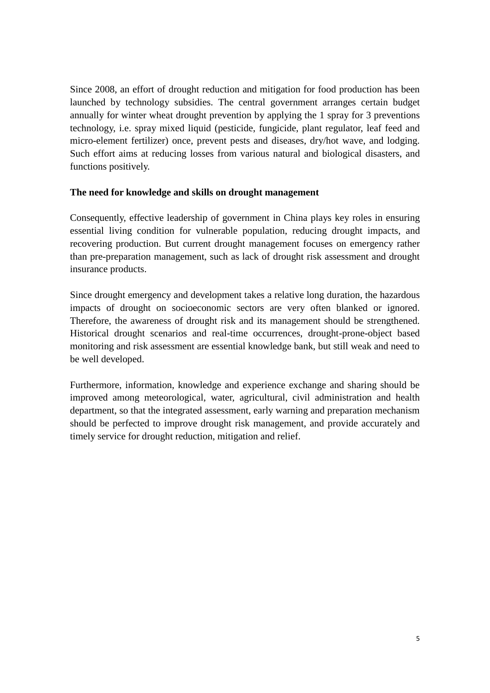Since 2008, an effort of drought reduction and mitigation for food production has been launched by technology subsidies. The central government arranges certain budget annually for winter wheat drought prevention by applying the 1 spray for 3 preventions technology, i.e. spray mixed liquid (pesticide, fungicide, plant regulator, leaf feed and micro-element fertilizer) once, prevent pests and diseases, dry/hot wave, and lodging. Such effort aims at reducing losses from various natural and biological disasters, and functions positively.

# **The need for knowledge and skills on drought management**

Consequently, effective leadership of government in China plays key roles in ensuring essential living condition for vulnerable population, reducing drought impacts, and recovering production. But current drought management focuses on emergency rather than pre-preparation management, such as lack of drought risk assessment and drought insurance products.

Since drought emergency and development takes a relative long duration, the hazardous impacts of drought on socioeconomic sectors are very often blanked or ignored. Therefore, the awareness of drought risk and its management should be strengthened. Historical drought scenarios and real-time occurrences, drought-prone-object based monitoring and risk assessment are essential knowledge bank, but still weak and need to be well developed.

Furthermore, information, knowledge and experience exchange and sharing should be improved among meteorological, water, agricultural, civil administration and health department, so that the integrated assessment, early warning and preparation mechanism should be perfected to improve drought risk management, and provide accurately and timely service for drought reduction, mitigation and relief.